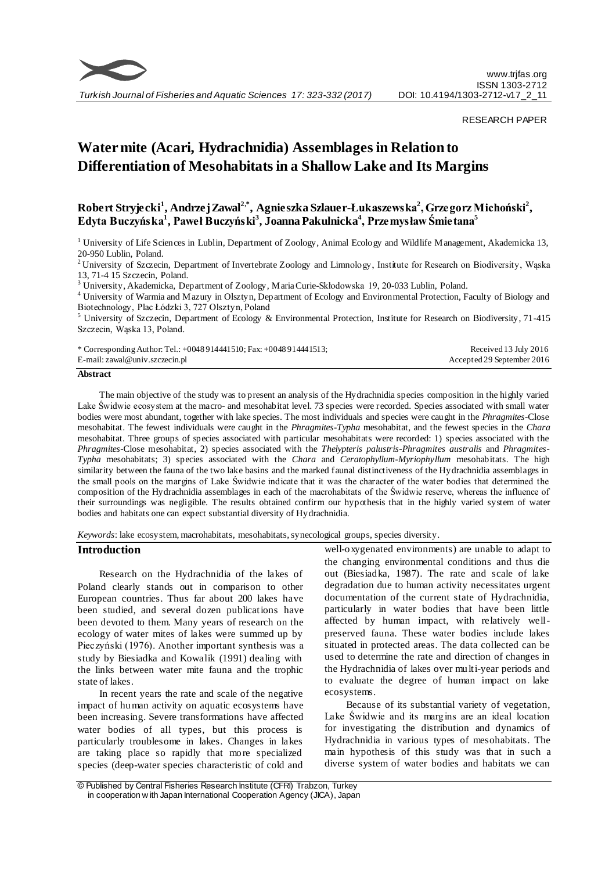

*Turkish Journal of Fisheries and Aquatic Sciences 17: 323-332 (2017)*

RESEARCH PAPER

# **Water mite (Acari, Hydrachnidia) Assemblages in Relation to Differentiation of Mesohabitats in a Shallow Lake and Its Margins**

## **Robert Stryjecki<sup>1</sup> , Andrzej Zawal2,\*, Agnieszka Szlauer-Łukaszewska<sup>2</sup> , Grzegorz Michoński<sup>2</sup> , Edyta Buczyńska<sup>1</sup> , Paweł Buczyński<sup>3</sup> , Joanna Pakulnicka<sup>4</sup> , Przemysław Śmietana<sup>5</sup>**

<sup>1</sup> University of Life Sciences in Lublin, Department of Zoology, Animal Ecology and Wildlife Management, Akademicka 13, 20-950 Lublin, Poland.

<sup>2</sup> University of Szczecin, Department of Invertebrate Zoology and Limnology, Institute for Research on Biodiversity, Wąska 13, 71-4 15 Szczecin, Poland.

<sup>3</sup> University, Akademicka, Department of Zoology, Maria Curie-Skłodowska 19, 20-033 Lublin, Poland.

<sup>4</sup> University of Warmia and Mazury in Olsztyn, Department of Ecology and Environmental Protection, Faculty of Biology and Biotechnology, Plac Łódzki 3, 727 Olsztyn, Poland

<sup>5</sup> University of Szczecin, Department of Ecology & Environmental Protection, Institute for Research on Biodiversity, 71-415 Szczecin, Wąska 13, Poland.

| * Corresponding Author: Tel.: $+0048914441510$ ; Fax: $+0048914441513$ ; | Received 13 July 2016      |
|--------------------------------------------------------------------------|----------------------------|
| E-mail: zawal@univ.szczecin.pl                                           | Accepted 29 September 2016 |

#### **Abstract**

The main objective of the study was to present an analysis of the Hydrachnidia species composition in the highly varied Lake Świdwie ecosystem at the macro- and mesohabitat level. 73 species were recorded. Species associated with small water bodies were most abundant, together with lake species. The most individuals and species were caught in the *Phragmites*-Close mesohabitat. The fewest individuals were caught in the *Phragmites-Typha* mesohabitat, and the fewest species in the *Chara* mesohabitat. Three groups of species associated with particular mesohabitats were recorded: 1) species associated with the *Phragmites*-Close mesohabitat, 2) species associated with the *Thelypteris palustris*-*Phragmites australis* and *Phragmites-Typha* mesohabitats; 3) species associated with the *Chara* and *Ceratophyllum*-*Myriophyllum* mesohabitats. The high similarity between the fauna of the two lake basins and the marked faunal distinctiveness of the Hydrachnidia assemblages in the small pools on the margins of Lake Świdwie indicate that it was the character of the water bodies that determined the composition of the Hydrachnidia assemblages in each of the macrohabitats of the Świdwie reserve, whereas the influence of their surroundings was negligible. The results obtained confirm our hypothesis that in the highly varied system of water bodies and habitats one can expect substantial diversity of Hydrachnidia.

*Keywords*: lake ecosystem, macrohabitats, mesohabitats, synecological groups, species diversity.

#### **Introduction**

Research on the Hydrachnidia of the lakes of Poland clearly stands out in comparison to other European countries. Thus far about 200 lakes have been studied, and several dozen publications have been devoted to them. Many years of research on the ecology of water mites of lakes were summed up by Pieczyński (1976). Another important synthesis was a study by Biesiadka and Kowalik (1991) dealing with the links between water mite fauna and the trophic state of lakes.

In recent years the rate and scale of the negative impact of human activity on aquatic ecosystems have been increasing. Severe transformations have affected water bodies of all types, but this process is particularly troublesome in lakes. Changes in lakes are taking place so rapidly that more specialized species (deep-water species characteristic of cold and

well-oxygenated environments) are unable to adapt to the changing environmental conditions and thus die out (Biesiadka, 1987). The rate and scale of lake degradation due to human activity necessitates urgent documentation of the current state of Hydrachnidia, particularly in water bodies that have been little affected by human impact, with relatively wellpreserved fauna. These water bodies include lakes situated in protected areas. The data collected can be used to determine the rate and direction of changes in the Hydrachnidia of lakes over multi-year periods and to evaluate the degree of human impact on lake ecosystems.

Because of its substantial variety of vegetation, Lake Świdwie and its margins are an ideal location for investigating the distribution and dynamics of Hydrachnidia in various types of mesohabitats. The main hypothesis of this study was that in such a diverse system of water bodies and habitats we can

<sup>©</sup> Published by Central Fisheries Research Institute (CFRI) Trabzon, Turkey in cooperation w ith Japan International Cooperation Agency (JICA), Japan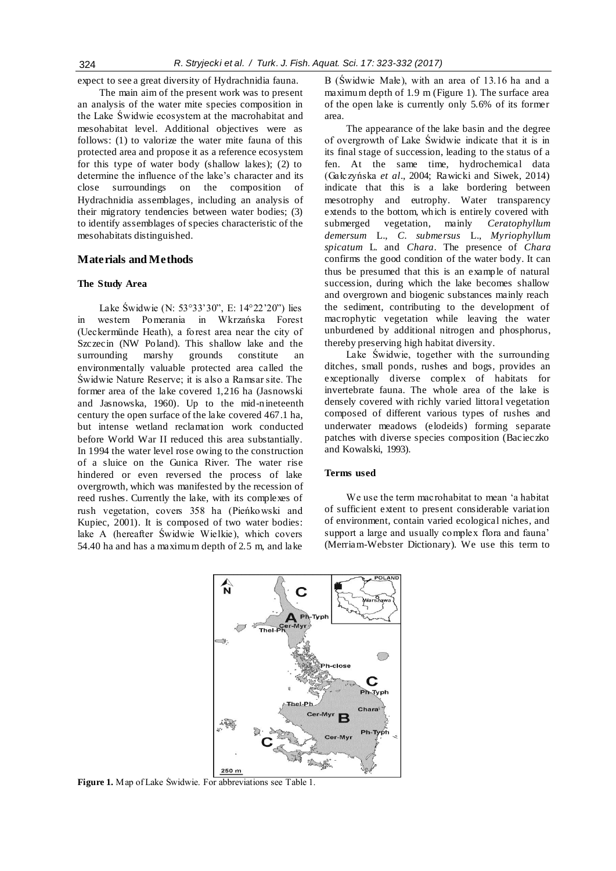expect to see a great diversity of Hydrachnidia fauna.

The main aim of the present work was to present an analysis of the water mite species composition in the Lake Świdwie ecosystem at the macrohabitat and mesohabitat level. Additional objectives were as follows: (1) to valorize the water mite fauna of this protected area and propose it as a reference ecosystem for this type of water body (shallow lakes); (2) to determine the influence of the lake's character and its close surroundings on the composition of Hydrachnidia assemblages, including an analysis of their migratory tendencies between water bodies; (3) to identify assemblages of species characteristic of the mesohabitats distinguished.

## **Materials and Methods**

#### **The Study Area**

Lake Świdwie (N: 53°33'30", E: 14°22'20") lies in western Pomerania in Wkrzańska Forest (Ueckermünde Heath), a forest area near the city of Szczecin (NW Poland). This shallow lake and the surrounding marshy grounds constitute an surrounding marshy grounds constitute an environmentally valuable protected area called the Świdwie Nature Reserve; it is also a Ramsar site. The former area of the lake covered 1,216 ha (Jasnowski and Jasnowska, 1960). Up to the mid-nineteenth century the open surface of the lake covered 467.1 ha, but intense wetland reclamation work conducted before World War II reduced this area substantially. In 1994 the water level rose owing to the construction of a sluice on the Gunica River. The water rise hindered or even reversed the process of lake overgrowth, which was manifested by the recession of reed rushes. Currently the lake, with its complexes of rush vegetation, covers 358 ha (Pieńkowski and Kupiec, 2001). It is composed of two water bodies: lake A (hereafter Świdwie Wielkie), which covers 54.40 ha and has a maximum depth of 2.5 m, and lake

B (Świdwie Małe), with an area of 13.16 ha and a maximum depth of 1.9 m (Figure 1). The surface area of the open lake is currently only 5.6% of its former area.

The appearance of the lake basin and the degree of overgrowth of Lake Świdwie indicate that it is in its final stage of succession, leading to the status of a fen. At the same time, hydrochemical data (Gałczyńska *et al*., 2004; Rawicki and Siwek, 2014) indicate that this is a lake bordering between mesotrophy and eutrophy. Water transparency extends to the bottom, which is entirely covered with submerged vegetation, mainly *Ceratophyllum demersum* L., *C. submersus* L., *Myriophyllum spicatum* L. and *Chara*. The presence of *Chara* confirms the good condition of the water body. It can thus be presumed that this is an example of natural succession, during which the lake becomes shallow and overgrown and biogenic substances mainly reach the sediment, contributing to the development of macrophytic vegetation while leaving the water unburdened by additional nitrogen and phosphorus, thereby preserving high habitat diversity.

Lake Świdwie, together with the surrounding ditches, small ponds, rushes and bogs, provides an exceptionally diverse complex of habitats for invertebrate fauna. The whole area of the lake is densely covered with richly varied littoral vegetation composed of different various types of rushes and underwater meadows (elodeids) forming separate patches with diverse species composition (Bacieczko and Kowalski, 1993).

## **Terms used**

We use the term macrohabitat to mean 'a habitat of sufficient extent to present considerable variation of environment, contain varied ecological niches, and support a large and usually complex flora and fauna' (Merriam-Webster Dictionary). We use this term to



**Figure 1.** Map of Lake Świdwie. For abbreviations see Table 1.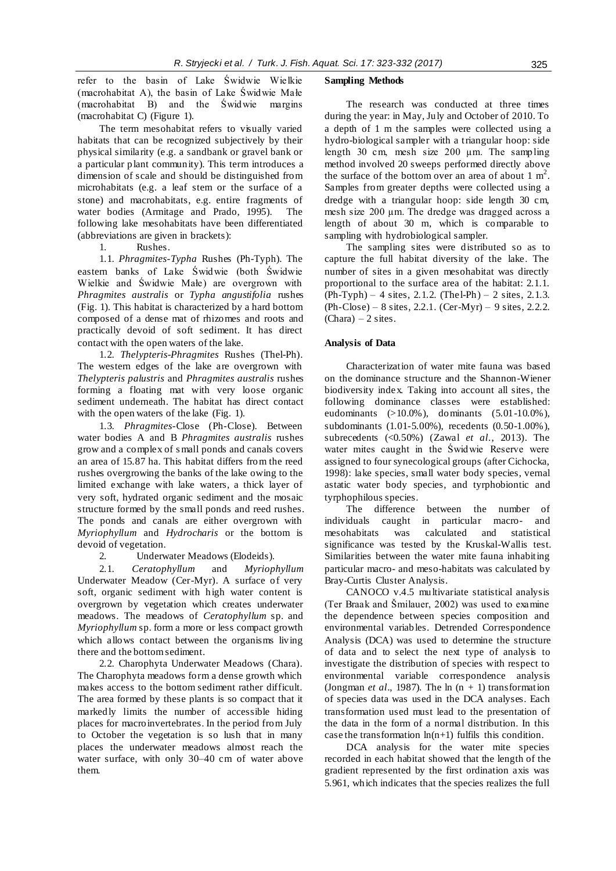refer to the basin of Lake Świdwie Wielkie (macrohabitat A), the basin of Lake Świdwie Małe (macrohabitat B) and the Świdwie margins (macrohabitat C) (Figure 1).

The term mesohabitat refers to visually varied habitats that can be recognized subjectively by their physical similarity (e.g. a sandbank or gravel bank or a particular plant community). This term introduces a dimension of scale and should be distinguished from microhabitats (e.g. a leaf stem or the surface of a stone) and macrohabitats, e.g. entire fragments of water bodies (Armitage and Prado, 1995). The following lake mesohabitats have been differentiated (abbreviations are given in brackets):

1. Rushes.

1.1. *Phragmites-Typha* Rushes (Ph-Typh). The eastern banks of Lake Świdwie (both Świdwie Wielkie and Świdwie Małe) are overgrown with *Phragmites australis* or *Typha angustifolia* rushes (Fig. 1). This habitat is characterized by a hard bottom composed of a dense mat of rhizomes and roots and practically devoid of soft sediment. It has direct contact with the open waters of the lake.

1.2. *Thelypteris-Phragmites* Rushes (Thel-Ph). The western edges of the lake are overgrown with *Thelypteris palustris* and *Phragmites australis* rushes forming a floating mat with very loose organic sediment underneath. The habitat has direct contact with the open waters of the lake (Fig. 1).

1.3. *Phragmites*-Close (Ph-Close). Between water bodies A and B *Phragmites australis* rushes grow and a complex of s mall ponds and canals covers an area of 15.87 ha. This habitat differs from the reed rushes overgrowing the banks of the lake owing to the limited exchange with lake waters, a thick layer of very soft, hydrated organic sediment and the mosaic structure formed by the small ponds and reed rushes. The ponds and canals are either overgrown with *Myriophyllum* and *Hydrocharis* or the bottom is devoid of vegetation.

2. Underwater Meadows (Elodeids).

2.1. *Ceratophyllum* and *Myriophyllum*  Underwater Meadow (Cer-Myr). A surface of very soft, organic sediment with high water content is overgrown by vegetation which creates underwater meadows. The meadows of *Ceratophyllum* sp. and *Myriophyllum* sp. form a more or less compact growth which allows contact between the organisms living there and the bottom sediment.

2.2. Charophyta Underwater Meadows (Chara). The Charophyta meadows form a dense growth which makes access to the bottom sediment rather difficult. The area formed by these plants is so compact that it markedly limits the number of accessible hiding places for macroinvertebrates. In the period from July to October the vegetation is so lush that in many places the underwater meadows almost reach the water surface, with only 30–40 cm of water above them.

#### **Sampling Methods**

The research was conducted at three times during the year: in May, July and October of 2010. To a depth of 1 m the samples were collected using a hydro-biological sampler with a triangular hoop: side length 30 cm, mesh size 200 µm. The sampling method involved 20 sweeps performed directly above the surface of the bottom over an area of about  $1 \text{ m}^2$ . Samples from greater depths were collected using a dredge with a triangular hoop: side length 30 cm, mesh size 200 µm. The dredge was dragged across a length of about 30 m, which is comparable to sampling with hydrobiological sampler.

The sampling sites were distributed so as to capture the full habitat diversity of the lake. The number of sites in a given mesohabitat was directly proportional to the surface area of the habitat: 2.1.1.  $(Ph-Typh) - 4$  sites, 2.1.2. (The l-Ph) – 2 sites, 2.1.3.  $(Ph-Close) - 8 sites, 2.2.1. (Cer-Myr) - 9 sites, 2.2.2.$  $(Chara) - 2$  sites.

#### **Analysis of Data**

Characterization of water mite fauna was based on the dominance structure and the Shannon-Wiener biodiversity index. Taking into account all sites, the following dominance classes were established: eudominants (>10.0%), dominants (5.01-10.0%), subdominants (1.01-5.00%), recedents (0.50-1.00%), subrecedents (<0.50%) (Zawal *et al*., 2013). The water mites caught in the Świdwie Reserve were assigned to four synecological groups (after Cichocka, 1998): lake species, small water body species, vernal astatic water body species, and tyrphobiontic and tyrphophilous species.

The difference between the number of individuals caught in particular macro- and mesohabitats was calculated and statistical significance was tested by the Kruskal-Wallis test. Similarities between the water mite fauna inhabiting particular macro- and meso-habitats was calculated by Bray-Curtis Cluster Analysis.

CANOCO v.4.5 multivariate statistical analysis (Ter Braak and Šmilauer, 2002) was used to examine the dependence between species composition and environmental variables. Detrended Correspondence Analysis (DCA) was used to determine the structure of data and to select the next type of analysis to investigate the distribution of species with respect to environmental variable correspondence analysis (Jongman *et al.*, 1987). The  $\ln(n + 1)$  transformation of species data was used in the DCA analyses. Each transformation used must lead to the presentation of the data in the form of a normal distribution. In this case the transformation  $ln(n+1)$  fulfils this condition.

DCA analysis for the water mite species recorded in each habitat showed that the length of the gradient represented by the first ordination axis was 5.961, which indicates that the species realizes the full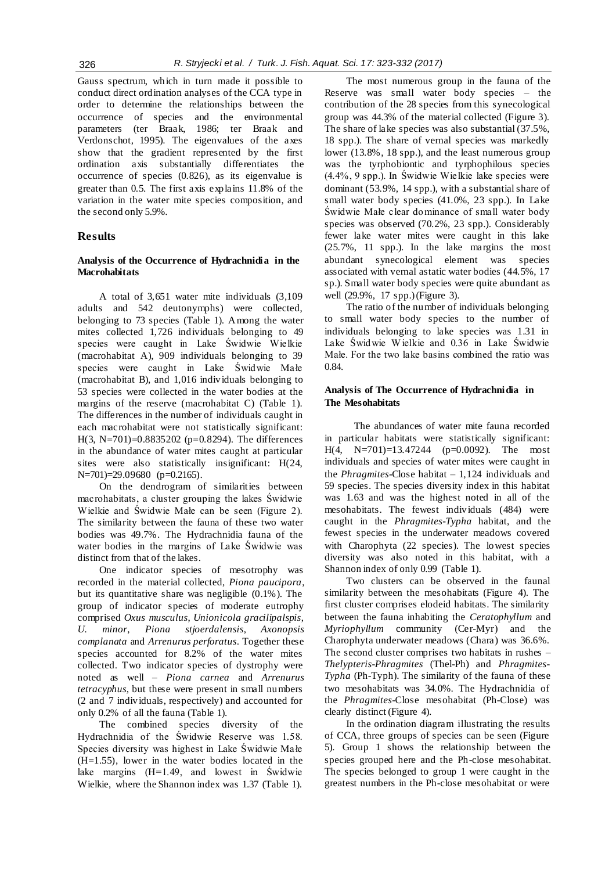Gauss spectrum, which in turn made it possible to conduct direct ordination analyses of the CCA type in order to determine the relationships between the occurrence of species and the environmental parameters (ter Braak, 1986; ter Braak and Verdonschot, 1995). The eigenvalues of the axes show that the gradient represented by the first ordination axis substantially differentiates the occurrence of species (0.826), as its eigenvalue is greater than 0.5. The first axis explains 11.8% of the variation in the water mite species composition, and the second only 5.9%.

## **Results**

## **Analysis of the Occurrence of Hydrachnidia in the Macrohabitats**

A total of 3,651 water mite individuals (3,109 adults and 542 deutonymphs) were collected, belonging to 73 species (Table 1). Among the water mites collected 1,726 individuals belonging to 49 species were caught in Lake Świdwie Wielkie (macrohabitat A), 909 individuals belonging to 39 species were caught in Lake Świdwie Małe (macrohabitat B), and 1,016 individuals belonging to 53 species were collected in the water bodies at the margins of the reserve (macrohabitat C) (Table 1). The differences in the number of individuals caught in each macrohabitat were not statistically significant: H(3, N=701)=0.8835202 (p=0.8294). The differences in the abundance of water mites caught at particular sites were also statistically insignificant: H(24, N=701)=29.09680 (p=0.2165).

On the dendrogram of similarities between macrohabitats, a cluster grouping the lakes Świdwie Wielkie and Świdwie Małe can be seen (Figure 2). The similarity between the fauna of these two water bodies was 49.7%. The Hydrachnidia fauna of the water bodies in the margins of Lake Świdwie was distinct from that of the lakes.

One indicator species of mesotrophy was recorded in the material collected, *Piona paucipora*, but its quantitative share was negligible (0.1%). The group of indicator species of moderate eutrophy comprised *Oxus musculus*, *Unionicola gracilipalspis*, *U. minor*, *Piona stjoerdalensis*, *Axonopsis complanata* and *Arrenurus perforatus*. Together these species accounted for 8.2% of the water mites collected. Two indicator species of dystrophy were noted as well – *Piona carnea* and *Arrenurus tetracyphus*, but these were present in small numbers (2 and 7 individuals, respectively) and accounted for only 0.2% of all the fauna (Table 1).

The combined species diversity of the Hydrachnidia of the Świdwie Reserve was 1.58. Species diversity was highest in Lake Świdwie Małe (H=1.55), lower in the water bodies located in the lake margins (H=1.49, and lowest in Świdwie Wielkie, where the Shannon index was 1.37 (Table 1).

The most numerous group in the fauna of the Reserve was small water body species – the contribution of the 28 species from this synecological group was 44.3% of the material collected (Figure 3). The share of lake species was also substantial (37.5%, 18 spp.). The share of vernal species was markedly lower (13.8%, 18 spp.), and the least numerous group was the tyrphobiontic and tyrphophilous species (4.4%, 9 spp.). In Świdwie Wielkie lake species were dominant (53.9%, 14 spp.), with a substantial share of small water body species (41.0%, 23 spp.). In Lake Świdwie Małe clear dominance of small water body species was observed (70.2%, 23 spp.). Considerably fewer lake water mites were caught in this lake (25.7%, 11 spp.). In the lake margins the most abundant synecological element was species associated with vernal astatic water bodies (44.5%, 17 sp.). Small water body species were quite abundant as well (29.9%, 17 spp.) (Figure 3).

The ratio of the number of individuals belonging to small water body species to the number of individuals belonging to lake species was 1.31 in Lake Świdwie W ielkie and 0.36 in Lake Świdwie Małe. For the two lake basins combined the ratio was 0.84.

## **Analysis of The Occurrence of Hydrachnidia in The Mesohabitats**

The abundances of water mite fauna recorded in particular habitats were statistically significant: H(4, N=701)=13.47244 (p=0.0092). The most individuals and species of water mites were caught in the *Phragmites*-Close habitat – 1,124 individuals and 59 species. The species diversity index in this habitat was 1.63 and was the highest noted in all of the mesohabitats. The fewest individuals (484) were caught in the *Phragmites-Typha* habitat, and the fewest species in the underwater meadows covered with Charophyta (22 species). The lowest species diversity was also noted in this habitat, with a Shannon index of only 0.99 (Table 1).

Two clusters can be observed in the faunal similarity between the mesohabitats (Figure 4). The first cluster comprises elodeid habitats. The similarity between the fauna inhabiting the *Ceratophyllum* and *Myriophyllum* community (Cer-Myr) and the Charophyta underwater meadows (Chara) was 36.6%. The second cluster comprises two habitats in rushes – *Thelypteris-Phragmites* (Thel-Ph) and *Phragmites-Typha* (Ph-Typh). The similarity of the fauna of these two mesohabitats was 34.0%. The Hydrachnidia of the *Phragmites*-Close mesohabitat (Ph-Close) was clearly distinct (Figure 4).

In the ordination diagram illustrating the results of CCA, three groups of species can be seen (Figure 5). Group 1 shows the relationship between the species grouped here and the Ph-close mesohabitat. The species belonged to group 1 were caught in the greatest numbers in the Ph-close mesohabitat or were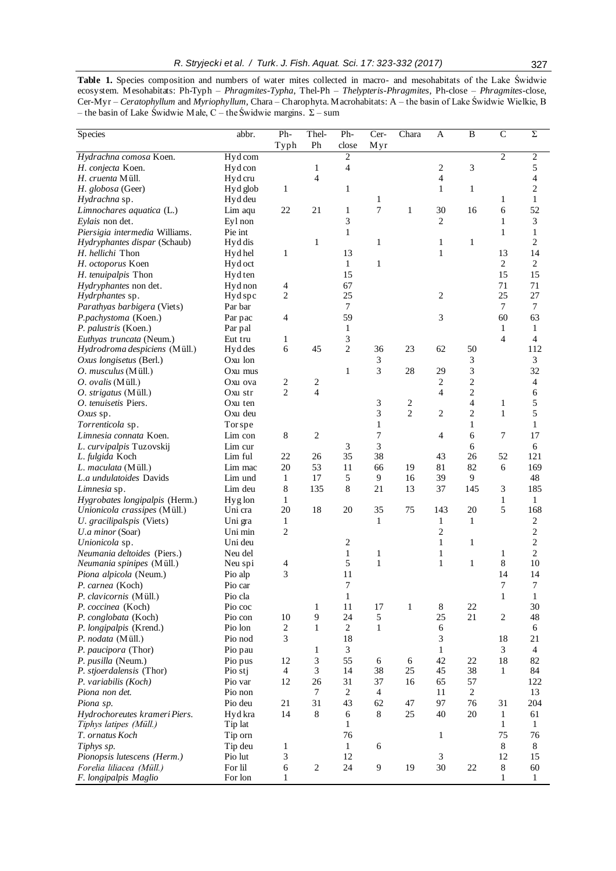**Table 1.** Species composition and numbers of water mites collected in macro- and mesohabitats of the Lake Świdwie ecosystem. Mesohabitats: Ph-Typh – *Phragmites-Typha*, Thel-Ph – *Thelypteris-Phragmites*, Ph-close – *Phragmites-*close, Cer-Myr – *Ceratophyllum* and *Myriophyllum*, Chara – Charophyta. Macrohabitats: A – the basin of Lake Świdwie Wielkie, B – the basin of Lake Świdwie Małe, C – the Świdwie margins. Σ – sum

| Species                                      | abbr.              | Ph-                                | Thel-               | Ph-                 | Cer-           | Chara          | A                  | B                   | $\mathcal{C}$  | Σ                     |
|----------------------------------------------|--------------------|------------------------------------|---------------------|---------------------|----------------|----------------|--------------------|---------------------|----------------|-----------------------|
|                                              |                    | Typh                               | Ph                  | close               | Myr            |                |                    |                     |                |                       |
| Hydrachna comosa Koen.                       | Hyd com            |                                    |                     | 2                   |                |                |                    |                     | $\overline{2}$ | $\overline{2}$        |
| H. conjecta Koen.                            | Hydcon             |                                    | 1                   | 4                   |                |                | $\sqrt{2}$         | 3                   |                | 5                     |
| H. cruenta Müll.                             | Hyd cru            |                                    | 4                   |                     |                |                | $\overline{4}$     |                     |                | 4                     |
| H. globosa (Geer)                            | Hyd glob           | 1                                  |                     | $\mathbf{1}$        |                |                | $\mathbf{1}$       | $\mathbf{1}$        |                | $\overline{c}$        |
| Hydrachna sp.                                | Hyd deu            |                                    |                     |                     | 1              |                |                    |                     | $\mathbf{1}$   | $\mathbf{1}$          |
| Limnochares aquatica (L.)                    | Lim aqu            | 22                                 | 21                  | 1                   | 7              | $\mathbf{1}$   | 30                 | 16                  | 6              | 52                    |
| Eylais non det.                              | Eyl non            |                                    |                     | 3                   |                |                | $\mathbf{2}$       |                     | 1              | 3                     |
| Piersigia intermedia Williams.               | Pie int            |                                    |                     | $\mathbf{1}$        |                |                |                    |                     | $\mathbf{1}$   | $\mathbf{1}$          |
| Hydryphantes dispar (Schaub)                 | Hyd dis            |                                    | 1                   |                     | 1              |                | 1                  | $\mathbf{1}$        |                | $\overline{c}$        |
| H. hellichi Thon                             | Hyd hel            | 1                                  |                     | 13                  |                |                | $\mathbf{1}$       |                     | 13             | 14                    |
| H. octoporus Koen                            | Hyd oct            |                                    |                     | $\mathbf{1}$        | $\mathbf{1}$   |                |                    |                     | $\overline{2}$ | $\overline{2}$        |
| H. tenuipalpis Thon                          | Hyd ten            |                                    |                     | 15                  |                |                |                    |                     | 15             | 15                    |
| Hydryphantes non det.                        | Hyd non            | $\overline{4}$                     |                     | 67                  |                |                |                    |                     | 71             | 71                    |
| <i>Hydrphantes</i> sp.                       | Hyd spc            | 2                                  |                     | 25                  |                |                | $\mathbf{2}$       |                     | 25             | 27                    |
| Parathyas barbigera (Viets)                  | Par bar            |                                    |                     | $\overline{7}$      |                |                |                    |                     | $\tau$         | $\tau$                |
| P.pachystoma (Koen.)                         | Par pac            | 4                                  |                     | 59                  |                |                | 3                  |                     | 60             | 63                    |
| P. palustris (Koen.)                         | Par pal            |                                    |                     | $\mathbf{1}$        |                |                |                    |                     | $\mathbf{1}$   | $\mathbf{1}$          |
| Euthyas truncata (Neum.)                     | Eut tru            | 1<br>$\sqrt{6}$                    | 45                  | 3<br>$\overline{c}$ | 36             | 23             | 62                 | 50                  | $\overline{4}$ | $\overline{4}$<br>112 |
| Hydrodroma despiciens (Müll.)                | Hyd des            |                                    |                     |                     |                |                |                    |                     |                |                       |
| Oxus longisetus (Berl.)                      | Oxu lon            |                                    |                     | $\mathbf{1}$        | 3<br>3         | 28             |                    | 3                   |                | 3<br>32               |
| O. musculus (Müll.)                          | Oxu mus            |                                    |                     |                     |                |                | 29<br>$\mathbf{2}$ | 3                   |                |                       |
| O. ovalis (Müll.)                            | Oxu ova            | $\boldsymbol{2}$<br>$\overline{2}$ | 2<br>$\overline{4}$ |                     |                |                | $\overline{4}$     | $\overline{c}$      |                | 4<br>6                |
| O. strigatus (Müll.)<br>O. tenuisetis Piers. | Oxu str<br>Oxu ten |                                    |                     |                     | 3              | $\overline{c}$ |                    | $\overline{c}$<br>4 | 1              | 5                     |
| Oxus sp.                                     | Oxu deu            |                                    |                     |                     | 3              | $\overline{2}$ | $\mathbf{2}$       | $\overline{c}$      | $\mathbf{1}$   | 5                     |
| Torrenticola sp.                             | Tor spe            |                                    |                     |                     | $\mathbf{1}$   |                |                    | $\mathbf{1}$        |                | $\mathbf{1}$          |
| Limnesia connata Koen.                       | Lim con            | 8                                  | 2                   |                     | 7              |                | $\overline{4}$     | 6                   | $\overline{7}$ | 17                    |
| L. curvipalpis Tuzovskij                     | Lim cur            |                                    |                     | 3                   | 3              |                |                    | 6                   |                | $\sqrt{6}$            |
| L. fulgida Koch                              | Lim ful            | 22                                 | 26                  | 35                  | 38             |                | 43                 | 26                  | 52             | 121                   |
| L. maculata (Müll.)                          | Lim mac            | 20                                 | 53                  | 11                  | 66             | 19             | 81                 | 82                  | 6              | 169                   |
| L.a undulatoides Davids                      | Lim und            | $\mathbf{1}$                       | 17                  | 5                   | 9              | 16             | 39                 | 9                   |                | 48                    |
| Limnesia sp.                                 | Lim deu            | 8                                  | 135                 | 8                   | 21             | 13             | 37                 | 145                 | 3              | 185                   |
| Hygrobates longipalpis (Herm.)               | Hyg lon            | 1                                  |                     |                     |                |                |                    |                     | 1              | $\mathbf{1}$          |
| Unionicola crassipes (Müll.)                 | Uni cra            | 20                                 | 18                  | 20                  | 35             | 75             | 143                | 20                  | 5              | 168                   |
| U. gracilipalspis (Viets)                    | Uni gra            | $\mathbf{1}$                       |                     |                     | 1              |                | $\mathbf{1}$       | $\mathbf{1}$        |                | $\sqrt{2}$            |
| U.a minor (Soar)                             | Uni min            | 2                                  |                     |                     |                |                | 2                  |                     |                | $\overline{c}$        |
| Unionicola sp.                               | Uni deu            |                                    |                     | $\overline{c}$      |                |                | $\mathbf{1}$       | $\mathbf{1}$        |                | $\boldsymbol{2}$      |
| Neumania deltoides (Piers.)                  | Neu del            |                                    |                     | $\mathbf{1}$        | $\mathbf{1}$   |                | $\mathbf{1}$       |                     | $\mathbf{1}$   | $\overline{2}$        |
| <i>Neumania spinipes</i> (Müll.)             | Neu spi            | 4                                  |                     | 5                   | 1              |                | $\mathbf{1}$       | $\mathbf{1}$        | 8              | 10                    |
| Piona alpicola (Neum.)                       | Pio alp            | 3                                  |                     | 11                  |                |                |                    |                     | 14             | 14                    |
| P. carnea (Koch)                             | Pio car            |                                    |                     | 7                   |                |                |                    |                     | $\tau$         | $\boldsymbol{7}$      |
| P. clavicornis (Müll.)                       | Pio cla            |                                    |                     | 1                   |                |                |                    |                     | $\mathbf{1}$   | 1                     |
| P. coccinea (Koch)                           | Pio coc            |                                    | 1                   | 11                  | 17             | $\mathbf{1}$   | 8                  | 22                  |                | 30                    |
| P. conglobata (Koch)                         | Pio con            | 10                                 | 9                   | 24                  | 5              |                | 25                 | 21                  | $\mathbf{2}$   | 48                    |
| P. longipalpis (Krend.)                      | Pio lon            | 2                                  | $\mathbf{1}$        | $\sqrt{2}$          | $\mathbf{1}$   |                | 6                  |                     |                | 6                     |
| P. nodata (Müll.)                            | Pio nod            | 3                                  |                     | 18                  |                |                | 3                  |                     | 18             | 21                    |
| P. paucipora (Thor)                          | Pio pau            |                                    | 1                   | 3                   |                |                | 1                  |                     | 3              | $\overline{4}$        |
| P. pusilla (Neum.)                           | Pio pus            | 12                                 | 3                   | 55                  | 6              | 6              | 42                 | 22                  | 18             | 82                    |
| P. stjoerdalensis (Thor)                     | Pio stj            | $\overline{4}$                     | 3                   | 14                  | 38             | 25             | 45                 | 38                  | $\mathbf{1}$   | 84                    |
| P. variabilis (Koch)                         | Pio var            | 12                                 | 26                  | 31                  | 37             | 16             | 65                 | 57                  |                | 122                   |
| Piona non det.                               | Pio non            |                                    | 7                   | $\overline{2}$      | $\overline{4}$ |                | 11                 | $\overline{2}$      |                | 13                    |
| Piona sp.                                    | Pio deu            | 21                                 | 31                  | 43                  | 62             | 47             | 97                 | 76                  | 31             | 204                   |
| Hydrochoreutes krameri Piers.                | Hyd kra            | 14                                 | 8                   | 6                   | 8              | $25\,$         | 40                 | 20                  | $\mathbf{1}$   | 61                    |
| Tiphys latipes (Müll.)<br>T. ornatus Koch    | Tip lat<br>Tip orn |                                    |                     | 1<br>76             |                |                | 1                  |                     | 1<br>75        | 1<br>76               |
| Tiphys sp.                                   | Tip deu            | 1                                  |                     | 1                   | 6              |                |                    |                     | $\,8\,$        | 8                     |
| Pionopsis lutescens (Herm.)                  | Pio lut            | 3                                  |                     | 12                  |                |                | 3                  |                     | 12             | 15                    |
| Forelia liliacea (Müll.)                     | For lil            | 6                                  | 2                   | 24                  | 9              | 19             | 30                 | 22                  | $\,8\,$        | 60                    |
| F. longipalpis Maglio                        | For lon            | 1                                  |                     |                     |                |                |                    |                     | $\mathbf{1}$   | $\mathbf{1}$          |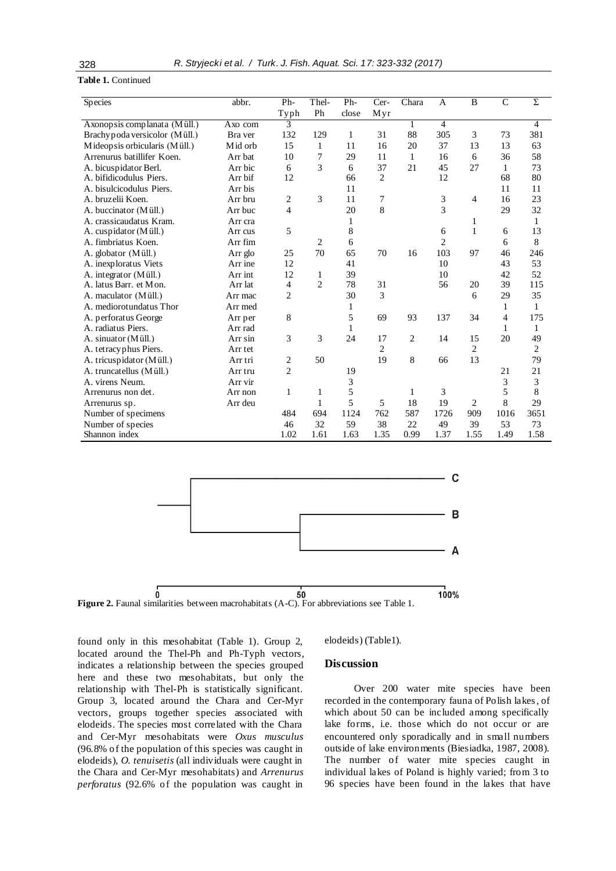## **Table 1.** Continued

| Species                        | abbr.   | Ph-            | Thel-          | Ph-   | Cer-             | Chara | A              | B              | $\mathsf{C}$ | Σ              |
|--------------------------------|---------|----------------|----------------|-------|------------------|-------|----------------|----------------|--------------|----------------|
|                                |         | Typh           | Ph             | close | Myr              |       |                |                |              |                |
| Axonopsis complanata (Müll.)   | Axo com | 3              |                |       |                  |       | 4              |                |              | 4              |
| Brachy poda versicolor (Müll.) | Bra ver | 132            | 129            | 1     | 31               | 88    | 305            | 3              | 73           | 381            |
| Mideopsis orbicularis (Müll.)  | Mid orb | 15             | 1              | 11    | 16               | 20    | 37             | 13             | 13           | 63             |
| Arrenurus batillifer Koen.     | Arr bat | 10             | 7              | 29    | 11               | 1     | 16             | 6              | 36           | 58             |
| A. bicuspidator Berl.          | Arr bic | 6              | 3              | 6     | 37               | 21    | 45             | 27             | 1            | 73             |
| A. bifidicodulus Piers.        | Arr bif | 12             |                | 66    | $\overline{2}$   |       | 12             |                | 68           | 80             |
| A. bisulcicodulus Piers.       | Arr bis |                |                | 11    |                  |       |                |                | 11           | 11             |
| A. bruzelii Koen.              | Arr bru | 2              | 3              | 11    | $\boldsymbol{7}$ |       | 3              | 4              | 16           | 23             |
| A. buccinator (Müll.)          | Arr buc | $\overline{4}$ |                | 20    | 8                |       | 3              |                | 29           | 32             |
| A. crassicaudatus Kram.        | Arr cra |                |                | 1     |                  |       |                | 1              |              | 1              |
| A. cuspidator (Müll.)          | Arr cus | 5              |                | 8     |                  |       | 6              | 1              | 6            | 13             |
| A. fimbriatus Koen.            | Arr fim |                | $\overline{c}$ | 6     |                  |       | $\overline{c}$ |                | 6            | 8              |
| A. globator (Müll.)            | Arr glo | 25             | 70             | 65    | 70               | 16    | 103            | 97             | 46           | 246            |
| A. inexploratus Viets          | Arr ine | 12             |                | 41    |                  |       | 10             |                | 43           | 53             |
| A. integrator $(Müll.)$        | Arr int | 12             | 1              | 39    |                  |       | 10             |                | 42           | 52             |
| A. latus Barr. et Mon.         | Arr lat | $\overline{4}$ | $\overline{2}$ | 78    | 31               |       | 56             | 20             | 39           | 115            |
| A. maculator (Müll.)           | Arr mac | $\overline{c}$ |                | 30    | 3                |       |                | 6              | 29           | 35             |
| A. mediorotundatus Thor        | Arr med |                |                | 1     |                  |       |                |                | 1            | 1              |
| A. perforatus George           | Arr per | 8              |                | 5     | 69               | 93    | 137            | 34             | 4            | 175            |
| A. radiatus Piers.             | Arr rad |                |                | 1     |                  |       |                |                | 1            | $\mathbf{1}$   |
| A. sinuator (Müll.)            | Arr sin | 3              | 3              | 24    | 17               | 2     | 14             | 15             | 20           | 49             |
| A. tetracy phus Piers.         | Arr tet |                |                |       | $\overline{c}$   |       |                | $\overline{c}$ |              | $\overline{2}$ |
| A. tricuspidator (Müll.)       | Arr tri | 2              | 50             |       | 19               | 8     | 66             | 13             |              | 79             |
| A. truncatellus (Müll.)        | Arr tru | $\overline{c}$ |                | 19    |                  |       |                |                | 21           | 21             |
| A. virens Neum.                | Arr vir |                |                | 3     |                  |       |                |                | 3            | 3              |
| Arrenurus non det.             | Arr non | 1              | 1              | 5     |                  | 1     | 3              |                | 5            | $\,$ 8 $\,$    |
| Arrenurus sp.                  | Arr deu |                | 1              | 5     | 5                | 18    | 19             | $\overline{2}$ | 8            | 29             |
| Number of specimens            |         | 484            | 694            | 1124  | 762              | 587   | 1726           | 909            | 1016         | 3651           |
| Number of species              |         | 46             | 32             | 59    | 38               | 22    | 49             | 39             | 53           | 73             |
| Shannon index                  |         | 1.02           | 1.61           | 1.63  | 1.35             | 0.99  | 1.37           | 1.55           | 1.49         | 1.58           |



found only in this mesohabitat (Table 1). Group 2, located around the Thel-Ph and Ph-Typh vectors, indicates a relationship between the species grouped here and these two mesohabitats, but only the relationship with Thel-Ph is statistically significant. Group 3, located around the Chara and Cer-Myr vectors, groups together species associated with elodeids. The species most correlated with the Chara and Cer-Myr mesohabitats were *Oxus musculus*  (96.8% of the population of this species was caught in elodeids), *O. tenuisetis* (all individuals were caught in the Chara and Cer-Myr mesohabitats) and *Arrenurus perforatus* (92.6% of the population was caught in

elodeids) (Table1).

## **Discussion**

Over 200 water mite species have been recorded in the contemporary fauna of Polish lakes, of which about 50 can be included among specifically lake forms, i.e. those which do not occur or are encountered only sporadically and in small numbers outside of lake environments (Biesiadka, 1987, 2008). The number of water mite species caught in individual lakes of Poland is highly varied; from 3 to 96 species have been found in the lakes that have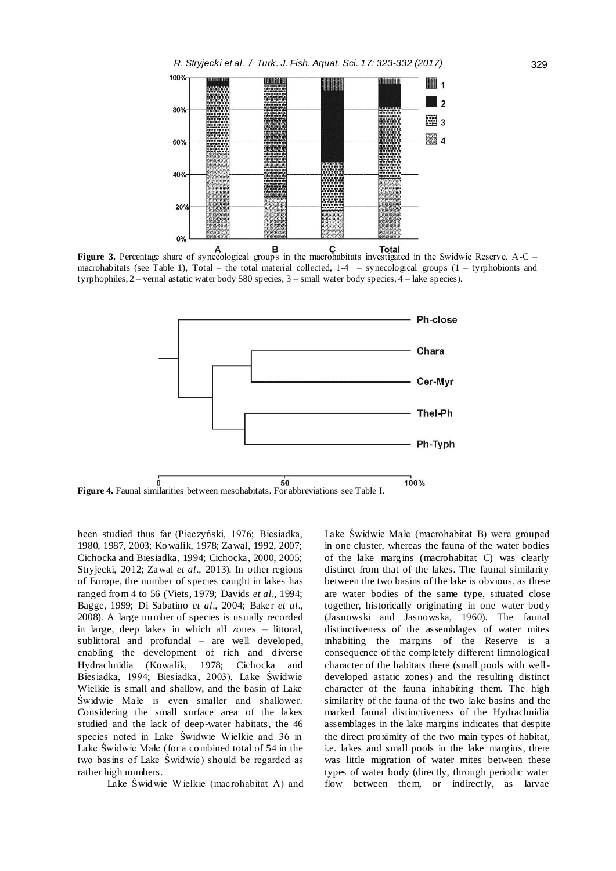

**Figure 3.** Percentage share of synecological groups in the macrohabitats investigated in the Świdwie Reserve. A-C – macrohabitats (see Table 1), Total – the total material collected,  $1-4$  – synecological groups  $(1 - t$ yrphobionts and tyrphophiles, 2 – vernal astatic water body 580 species, 3 – small water body species, 4 – lake species).



**Figure 4.** Faunal similarities between mesohabitats. For abbreviations see Table I.

been studied thus far (Pieczyński, 1976; Biesiadka, 1980, 1987, 2003; Kowalik, 1978; Zawal, 1992, 2007; Cichocka and Biesiadka, 1994; Cichocka, 2000, 2005; Stryjecki, 2012; Zawal *et al*., 2013). In other regions of Europe, the number of species caught in lakes has ranged from 4 to 56 (Viets, 1979; Davids *et al*., 1994; Bagge, 1999; Di Sabatino *et al*., 2004; Baker *et al*., 2008). A large number of species is usually recorded in large, deep lakes in which all zones – littoral, sublittoral and profundal – are well developed, enabling the development of rich and diverse Hydrachnidia (Kowalik, 1978; Cichocka and Biesiadka, 1994; Biesiadka, 2003). Lake Świdwie Wielkie is small and shallow, and the basin of Lake Świdwie Małe is even smaller and shallower. Considering the small surface area of the lakes studied and the lack of deep-water habitats, the 46 species noted in Lake Świdwie Wielkie and 36 in Lake Świdwie Małe (for a combined total of 54 in the two basins of Lake Świdwie) should be regarded as rather high numbers.

Lake Świdwie W ielkie (macrohabitat A) and

Lake Świdwie Małe (macrohabitat B) were grouped in one cluster, whereas the fauna of the water bodies of the lake margins (macrohabitat C) was clearly distinct from that of the lakes. The faunal similarity between the two basins of the lake is obvious, as these are water bodies of the same type, situated close together, historically originating in one water body (Jasnowski and Jasnowska, 1960). The faunal distinctiveness of the assemblages of water mites inhabiting the margins of the Reserve is a consequence of the completely different limnological character of the habitats there (small pools with welldeveloped astatic zones) and the resulting distinct character of the fauna inhabiting them. The high similarity of the fauna of the two lake basins and the marked faunal distinctiveness of the Hydrachnidia assemblages in the lake margins indicates that despite the direct proximity of the two main types of habitat, i.e. lakes and small pools in the lake margins, there was little migration of water mites between these types of water body (directly, through periodic water flow between them, or indirectly, as larvae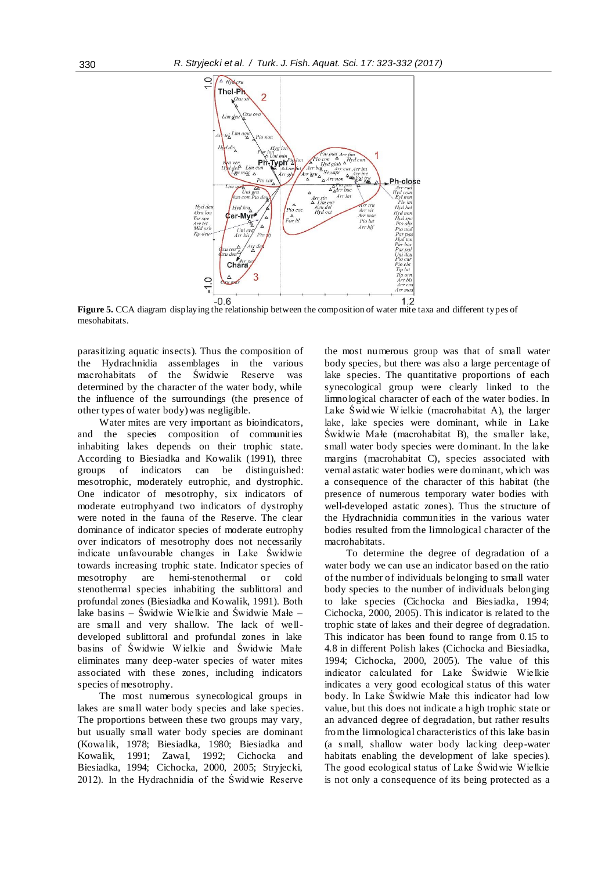

**Figure 5.** CCA diagram displaying the relationship between the composition of water mite taxa and different types of mesohabitats.

parasitizing aquatic insects). Thus the composition of the Hydrachnidia assemblages in the various macrohabitats of the Świdwie Reserve was determined by the character of the water body, while the influence of the surroundings (the presence of other types of water body) was negligible.

Water mites are very important as bioindicators, and the species composition of communities inhabiting lakes depends on their trophic state. According to Biesiadka and Kowalik (1991), three groups of indicators can be distinguished: mesotrophic, moderately eutrophic, and dystrophic. One indicator of mesotrophy, six indicators of moderate eutrophyand two indicators of dystrophy were noted in the fauna of the Reserve. The clear dominance of indicator species of moderate eutrophy over indicators of mesotrophy does not necessarily indicate unfavourable changes in Lake Świdwie towards increasing trophic state. Indicator species of mesotrophy are hemi-stenothermal or cold stenothermal species inhabiting the sublittoral and profundal zones (Biesiadka and Kowalik, 1991). Both lake basins – Świdwie Wielkie and Świdwie Małe – are small and very shallow. The lack of welldeveloped sublittoral and profundal zones in lake basins of Świdwie W ielkie and Świdwie Małe eliminates many deep-water species of water mites associated with these zones, including indicators species of mesotrophy.

The most numerous synecological groups in lakes are small water body species and lake species. The proportions between these two groups may vary, but usually sma ll water body species are dominant (Kowalik, 1978; Biesiadka, 1980; Biesiadka and Kowalik, 1991; Zawal, 1992; Cichocka and Biesiadka, 1994; Cichocka, 2000, 2005; Stryjecki, 2012). In the Hydrachnidia of the Świdwie Reserve the most numerous group was that of small water body species, but there was also a large percentage of lake species. The quantitative proportions of each synecological group were clearly linked to the limnological character of each of the water bodies. In Lake Świdwie W ielkie (macrohabitat A), the larger lake, lake species were dominant, while in Lake Świdwie Małe (macrohabitat B), the smaller lake, small water body species were dominant. In the lake margins (macrohabitat C), species associated with vernal astatic water bodies were dominant, which was a consequence of the character of this habitat (the presence of numerous temporary water bodies with well-developed astatic zones). Thus the structure of the Hydrachnidia communities in the various water bodies resulted from the limnological character of the macrohabitats.

To determine the degree of degradation of a water body we can use an indicator based on the ratio of the number of individuals belonging to small water body species to the number of individuals belonging to lake species (Cichocka and Biesiadka, 1994; Cichocka, 2000, 2005). This indicator is related to the trophic state of lakes and their degree of degradation. This indicator has been found to range from 0.15 to 4.8 in different Polish lakes (Cichocka and Biesiadka, 1994; Cichocka, 2000, 2005). The value of this indicator calculated for Lake Świdwie Wielkie indicates a very good ecological status of this water body. In Lake Świdwie Małe this indicator had low value, but this does not indicate a high trophic state or an advanced degree of degradation, but rather results from the limnological characteristics of this lake basin (a s mall, shallow water body lacking deep-water habitats enabling the development of lake species). The good ecological status of Lake Świdwie Wielkie is not only a consequence of its being protected as a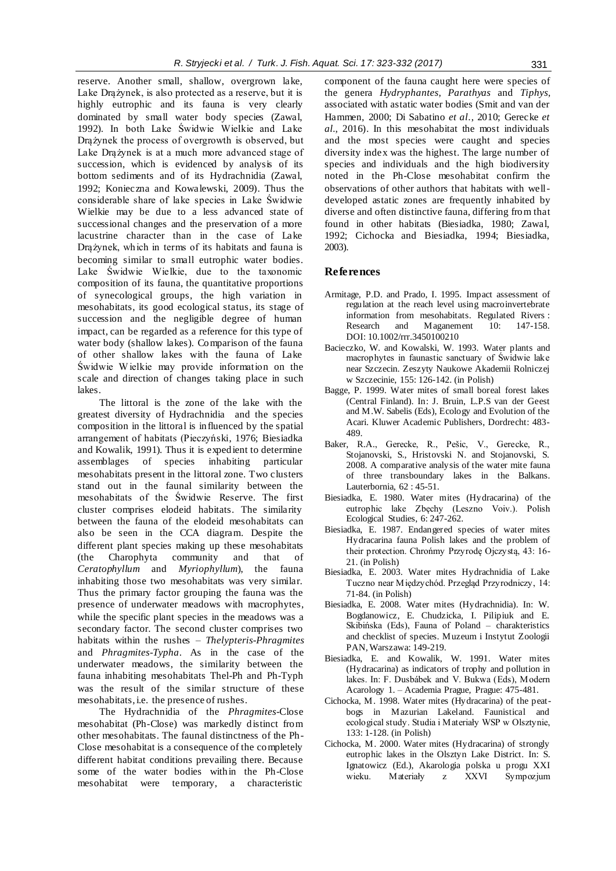reserve. Another small, shallow, overgrown lake, Lake Drążynek, is also protected as a reserve, but it is highly eutrophic and its fauna is very clearly dominated by small water body species (Zawal, 1992). In both Lake Świdwie Wielkie and Lake Drążynek the process of overgrowth is observed, but Lake Drążynek is at a much more advanced stage of succession, which is evidenced by analysis of its bottom sediments and of its Hydrachnidia (Zawal, 1992; Konieczna and Kowalewski, 2009). Thus the considerable share of lake species in Lake Świdwie Wielkie may be due to a less advanced state of successional changes and the preservation of a more lacustrine character than in the case of Lake Drążynek, which in terms of its habitats and fauna is becoming similar to small eutrophic water bodies. Lake Świdwie Wielkie, due to the taxonomic composition of its fauna, the quantitative proportions of synecological groups, the high variation in mesohabitats, its good ecological status, its stage of succession and the negligible degree of human impact, can be regarded as a reference for this type of water body (shallow lakes). Comparison of the fauna of other shallow lakes with the fauna of Lake Świdwie W ielkie may provide information on the scale and direction of changes taking place in such lakes.

The littoral is the zone of the lake with the greatest diversity of Hydrachnidia and the species composition in the littoral is influenced by the spatial arrangement of habitats (Pieczyński, 1976; Biesiadka and Kowalik, 1991). Thus it is expedient to determine assemblages of species inhabiting particular mesohabitats present in the littoral zone. Two clusters stand out in the faunal similarity between the mesohabitats of the Świdwie Reserve. The first cluster comprises elodeid habitats. The similarity between the fauna of the elodeid mesohabitats can also be seen in the CCA diagram. Despite the different plant species making up these mesohabitats (the Charophyta community and that of *Ceratophyllum* and *Myriophyllum*), the fauna inhabiting those two mesohabitats was very similar. Thus the primary factor grouping the fauna was the presence of underwater meadows with macrophytes, while the specific plant species in the meadows was a secondary factor. The second cluster comprises two habitats within the rushes – *Thelypteris-Phragmites* and *Phragmites-Typha*. As in the case of the underwater meadows, the similarity between the fauna inhabiting mesohabitats Thel-Ph and Ph-Typh was the result of the similar structure of these mesohabitats, i.e. the presence of rushes.

The Hydrachnidia of the *Phragmites*-Close mesohabitat (Ph-Close) was markedly distinct from other mesohabitats. The faunal distinctness of the Ph-Close mesohabitat is a consequence of the completely different habitat conditions prevailing there. Because some of the water bodies within the Ph-Close mesohabitat were temporary, a characteristic

component of the fauna caught here were species of the genera *Hydryphantes*, *Parathyas* and *Tiphys*, associated with astatic water bodies (Smit and van der Hammen, 2000; Di Sabatino *et al*., 2010; Gerecke *et al.*, 2016). In this mesohabitat the most individuals and the most species were caught and species diversity index was the highest. The large number of species and individuals and the high biodiversity noted in the Ph-Close mesohabitat confirm the observations of other authors that habitats with welldeveloped astatic zones are frequently inhabited by diverse and often distinctive fauna, differing from that found in other habitats (Biesiadka, 1980; Zawal, 1992; Cichocka and Biesiadka, 1994; Biesiadka, 2003).

## **References**

- Armitage, P.D. and Prado, I. 1995. Impact assessment of regulation at the reach level using macroinvertebrate information from mesohabitats. Regulated Rivers :<br>Research and Maganement 10: 147-158. and Maganement DOI: 10.1002/rrr.3450100210
- Bacieczko, W. and Kowalski, W. 1993. Water plants and macrophytes in faunastic sanctuary of Świdwie lake near Szczecin. Zeszyty Naukowe Akademii Rolniczej w Szczecinie, 155: 126-142. (in Polish)
- Bagge, P. 1999. Water mites of small boreal forest lakes (Central Finland). In: J. Bruin, L.P.S van der Geest and M.W. Sabelis (Eds), Ecology and Evolution of the Acari. Kluwer Academic Publishers, Dordrecht: 483- 489.
- Baker, R.A., Gerecke, R., Pešic, V., Gerecke, R., Stojanovski, S., Hristovski N. and Stojanovski, S. 2008. A comparative analysis of the water mite fauna of three transboundary lakes in the Balkans. Lauterbornia, 62 : 45-51.
- Biesiadka, E. 1980. Water mites (Hydracarina) of the eutrophic lake Zbęchy (Leszno Voiv.). Polish Ecological Studies, 6: 247-262.
- Biesiadka, E. 1987. Endangered species of water mites Hydracarina fauna Polish lakes and the problem of their protection. Chrońmy Przyrodę Ojczystą, 43: 16- 21. (in Polish)
- Biesiadka, E. 2003. Water mites Hydrachnidia of Lake Tuczno near Międzychód. Przegląd Przyrodniczy, 14: 71-84. (in Polish)
- Biesiadka, E. 2008. Water mites (Hydrachnidia). In: W. Bogdanowicz, E. Chudzicka, I. Pilipiuk and E. Skibińska (Eds), Fauna of Poland – charakteristics and checklist of species. Muzeum i Instytut Zoologii PAN, Warszawa: 149-219.
- Biesiadka, E. and Kowalik, W. 1991. Water mites (Hydracarina) as indicators of trophy and pollution in lakes. In: F. Dusbábek and V. Bukwa (Eds), Modern Acarology 1. – Academia Prague, Prague: 475-481.
- Cichocka, M. 1998. Water mites (Hydracarina) of the peatbogs in Mazurian Lakeland. Faunistical and ecological study. Studia i Materiały WSP w Olsztynie, 133: 1-128. (in Polish)
- Cichocka, M. 2000. Water mites (Hydracarina) of strongly eutrophic lakes in the Olsztyn Lake District. In: S. Ignatowicz (Ed.), Akarologia polska u progu XXI wieku. Materiały z XXVI Sympozjum